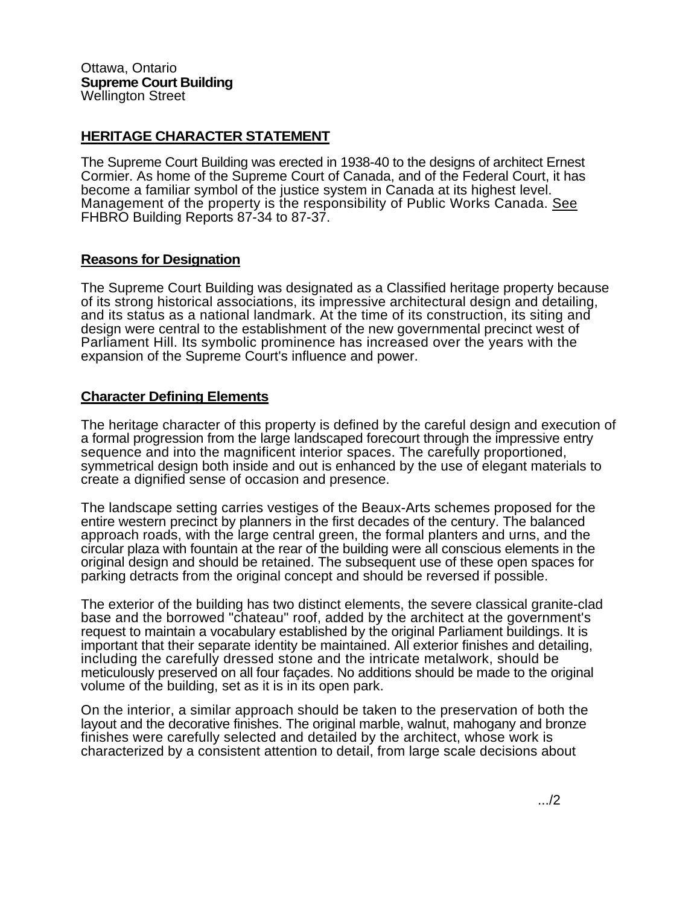## **HERITAGE CHARACTER STATEMENT**

The Supreme Court Building was erected in 1938-40 to the designs of architect Ernest Cormier. As home of the Supreme Court of Canada, and of the Federal Court, it has become a familiar symbol of the justice system in Canada at its highest level. Management of the property is the responsibility of Public Works Canada. See FHBRO Building Reports 87-34 to 87-37.

## **Reasons for Designation**

The Supreme Court Building was designated as a Classified heritage property because of its strong historical associations, its impressive architectural design and detailing, and its status as a national landmark. At the time of its construction, its siting and design were central to the establishment of the new governmental precinct west of Parliament Hill. Its symbolic prominence has increased over the years with the expansion of the Supreme Court's influence and power.

## **Character Defining Elements**

The heritage character of this property is defined by the careful design and execution of a formal progression from the large landscaped forecourt through the impressive entry sequence and into the magnificent interior spaces. The carefully proportioned, symmetrical design both inside and out is enhanced by the use of elegant materials to create a dignified sense of occasion and presence.

The landscape setting carries vestiges of the Beaux-Arts schemes proposed for the entire western precinct by planners in the first decades of the century. The balanced approach roads, with the large central green, the formal planters and urns, and the circular plaza with fountain at the rear of the building were all conscious elements in the original design and should be retained. The subsequent use of these open spaces for parking detracts from the original concept and should be reversed if possible.

The exterior of the building has two distinct elements, the severe classical granite-clad base and the borrowed "chateau" roof, added by the architect at the government's request to maintain a vocabulary established by the original Parliament buildings. It is important that their separate identity be maintained. All exterior finishes and detailing, including the carefully dressed stone and the intricate metalwork, should be meticulously preserved on all four façades. No additions should be made to the original volume of the building, set as it is in its open park.

On the interior, a similar approach should be taken to the preservation of both the layout and the decorative finishes. The original marble, walnut, mahogany and bronze finishes were carefully selected and detailed by the architect, whose work is characterized by a consistent attention to detail, from large scale decisions about